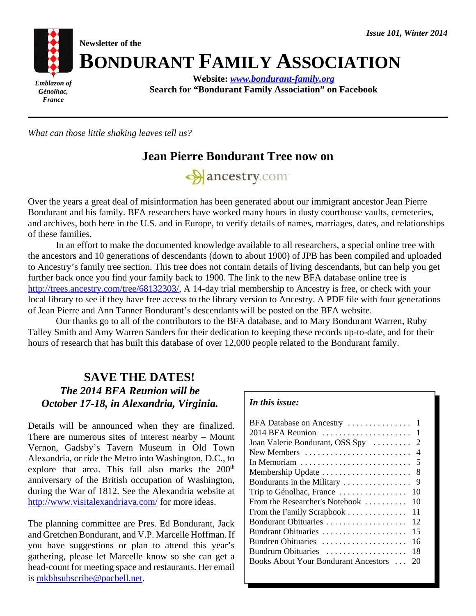

*What can those little shaking leaves tell us?*

*France*

# **Jean Pierre Bondurant Tree now on**



Over the years a great deal of misinformation has been generated about our immigrant ancestor Jean Pierre Bondurant and his family. BFA researchers have worked many hours in dusty courthouse vaults, cemeteries, and archives, both here in the U.S. and in Europe, to verify details of names, marriages, dates, and relationships of these families.

In an effort to make the documented knowledge available to all researchers, a special online tree with the ancestors and 10 generations of descendants (down to about 1900) of JPB has been compiled and uploaded to Ancestry's family tree section. This tree does not contain details of living descendants, but can help you get further back once you find your family back to 1900. The link to the new BFA database online tree is http://trees.ancestry.com/tree/68132303/, A 14-day trial membership to Ancestry is free, or check with your local library to see if they have free access to the library version to Ancestry. A PDF file with four generations of Jean Pierre and Ann Tanner Bondurant's descendants will be posted on the BFA website.

Our thanks go to all of the contributors to the BFA database, and to Mary Bondurant Warren, Ruby Talley Smith and Amy Warren Sanders for their dedication to keeping these records up-to-date, and for their hours of research that has built this database of over 12,000 people related to the Bondurant family.

## **SAVE THE DATES!** *The 2014 BFA Reunion will be October 17-18, in Alexandria, Virginia.*

Details will be announced when they are finalized. There are numerous sites of interest nearby – Mount Vernon, Gadsby's Tavern Museum in Old Town Alexandria, or ride the Metro into Washington, D.C., to explore that area. This fall also marks the  $200<sup>th</sup>$ anniversary of the British occupation of Washington, during the War of 1812. See the Alexandria website at http://www.visitalexandriava.com/ for more ideas.

The planning committee are Pres. Ed Bondurant, Jack and Gretchen Bondurant, and V.P. Marcelle Hoffman. If you have suggestions or plan to attend this year's gathering, please let Marcelle know so she can get a head-count for meeting space and restaurants. Her email is mkbhsubscribe@pacbell.net.

#### *In this issue:*

| 2014 BFA Reunion<br>$\overline{1}$                                      |
|-------------------------------------------------------------------------|
| Joan Valerie Bondurant, OSS Spy<br>2                                    |
| New Members<br>-4                                                       |
| In Memoriam $\dots\dots\dots\dots\dots\dots\dots\dots\dots\dots$<br>- 5 |
| 8<br>Membership Update                                                  |
| Bondurants in the Military<br>9                                         |
| Trip to Génolhac, France<br>10                                          |
| From the Researcher's Notebook<br>10                                    |
| 11<br>From the Family Scrapbook                                         |
| Bondurant Obituaries<br>12                                              |
| 15                                                                      |
| Bundren Obituaries<br>16                                                |
| Bundrum Obituaries<br>18                                                |
| <b>Books About Your Bondurant Ancestors </b><br>20                      |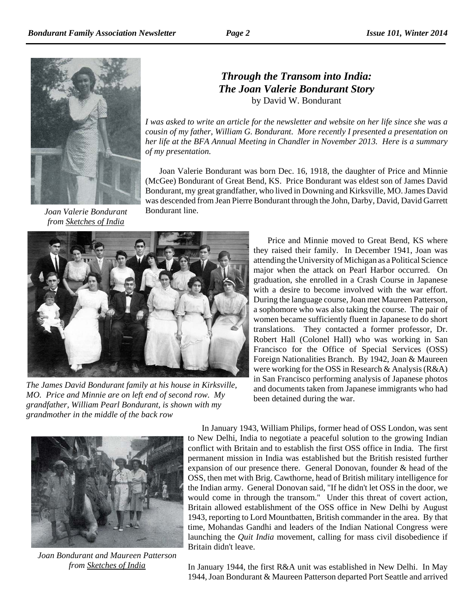

*Joan Valerie Bondurant from Sketches of India*

## *Through the Transom into India: The Joan Valerie Bondurant Story* by David W. Bondurant

*I was asked to write an article for the newsletter and website on her life since she was a cousin of my father, William G. Bondurant. More recently I presented a presentation on her life at the BFA Annual Meeting in Chandler in November 2013. Here is a summary of my presentation.*

Joan Valerie Bondurant was born Dec. 16, 1918, the daughter of Price and Minnie (McGee) Bondurant of Great Bend, KS. Price Bondurant was eldest son of James David Bondurant, my great grandfather, who lived in Downing and Kirksville, MO. James David was descended from Jean Pierre Bondurant through the John, Darby, David, David Garrett Bondurant line.



*The James David Bondurant family at his house in Kirksville, MO. Price and Minnie are on left end of second row. My grandfather, William Pearl Bondurant, is shown with my grandmother in the middle of the back row*

Price and Minnie moved to Great Bend, KS where they raised their family. In December 1941, Joan was attending the University of Michigan as a Political Science major when the attack on Pearl Harbor occurred. On graduation, she enrolled in a Crash Course in Japanese with a desire to become involved with the war effort. During the language course, Joan met Maureen Patterson, a sophomore who was also taking the course. The pair of women became sufficiently fluent in Japanese to do short translations. They contacted a former professor, Dr. Robert Hall (Colonel Hall) who was working in San Francisco for the Office of Special Services (OSS) Foreign Nationalities Branch. By 1942, Joan & Maureen were working for the OSS in Research & Analysis (R&A) in San Francisco performing analysis of Japanese photos and documents taken from Japanese immigrants who had been detained during the war.



*Joan Bondurant and Maureen Patterson from Sketches of India*

In January 1943, William Philips, former head of OSS London, was sent to New Delhi, India to negotiate a peaceful solution to the growing Indian conflict with Britain and to establish the first OSS office in India. The first permanent mission in India was established but the British resisted further expansion of our presence there. General Donovan, founder & head of the OSS, then met with Brig. Cawthorne, head of British military intelligence for the Indian army. General Donovan said, "If he didn't let OSS in the door, we would come in through the transom." Under this threat of covert action, Britain allowed establishment of the OSS office in New Delhi by August 1943, reporting to Lord Mountbatten, British commander in the area. By that time, Mohandas Gandhi and leaders of the Indian National Congress were launching the *Quit India* movement, calling for mass civil disobedience if Britain didn't leave.

In January 1944, the first R&A unit was established in New Delhi. In May 1944, Joan Bondurant & Maureen Patterson departed Port Seattle and arrived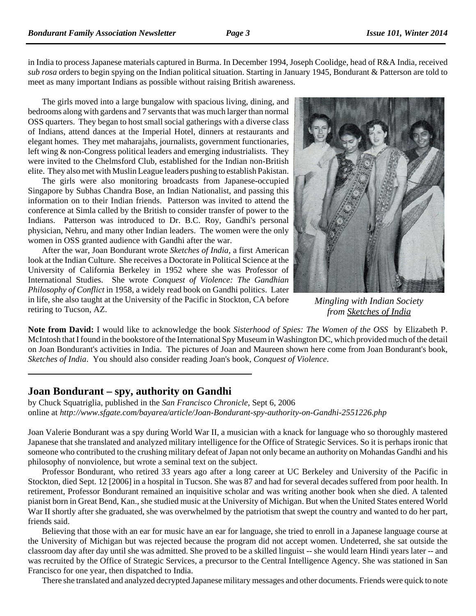in India to process Japanese materials captured in Burma. In December 1994, Joseph Coolidge, head of R&A India, received *sub rosa* orders to begin spying on the Indian political situation. Starting in January 1945, Bondurant & Patterson are told to meet as many important Indians as possible without raising British awareness.

The girls moved into a large bungalow with spacious living, dining, and bedrooms along with gardens and 7 servants that was much larger than normal OSS quarters. They began to host small social gatherings with a diverse class of Indians, attend dances at the Imperial Hotel, dinners at restaurants and elegant homes. They met maharajahs, journalists, government functionaries, left wing & non-Congress political leaders and emerging industrialists. They were invited to the Chelmsford Club, established for the Indian non-British elite. They also met with Muslin League leaders pushing to establish Pakistan.

The girls were also monitoring broadcasts from Japanese-occupied Singapore by Subhas Chandra Bose, an Indian Nationalist, and passing this information on to their Indian friends. Patterson was invited to attend the conference at Simla called by the British to consider transfer of power to the Indians. Patterson was introduced to Dr. B.C. Roy, Gandhi's personal physician, Nehru, and many other Indian leaders. The women were the only women in OSS granted audience with Gandhi after the war.

After the war, Joan Bondurant wrote *Sketches of India*, a first American look at the Indian Culture. She receives a Doctorate in Political Science at the University of California Berkeley in 1952 where she was Professor of International Studies. She wrote *Conquest of Violence: The Gandhian Philosophy of Conflict* in 1958, a widely read book on Gandhi politics. Later in life, she also taught at the University of the Pacific in Stockton, CA before retiring to Tucson, AZ.



*Mingling with Indian Society from Sketches of India*

**Note from David:** I would like to acknowledge the book *Sisterhood of Spies: The Women of the OSS* by Elizabeth P. McIntosh that I found in the bookstore of the International Spy Museum in Washington DC, which provided much of the detail on Joan Bondurant's activities in India. The pictures of Joan and Maureen shown here come from Joan Bondurant's book, *Sketches of India*. You should also consider reading Joan's book, *Conquest of Violence*.

### **Joan Bondurant – spy, authority on Gandhi**

by Chuck Squatriglia, published in the *San Francisco Chronicle*, Sept 6, 2006 online at *http://www.sfgate.com/bayarea/article/Joan-Bondurant-spy-authority-on-Gandhi-2551226.php* 

Joan Valerie Bondurant was a spy during World War II, a musician with a knack for language who so thoroughly mastered Japanese that she translated and analyzed military intelligence for the Office of Strategic Services. So it is perhaps ironic that someone who contributed to the crushing military defeat of Japan not only became an authority on Mohandas Gandhi and his philosophy of nonviolence, but wrote a seminal text on the subject.

Professor Bondurant, who retired 33 years ago after a long career at UC Berkeley and University of the Pacific in Stockton, died Sept. 12 [2006] in a hospital in Tucson. She was 87 and had for several decades suffered from poor health. In retirement, Professor Bondurant remained an inquisitive scholar and was writing another book when she died. A talented pianist born in Great Bend, Kan., she studied music at the University of Michigan. But when the United States entered World War II shortly after she graduated, she was overwhelmed by the patriotism that swept the country and wanted to do her part, friends said.

Believing that those with an ear for music have an ear for language, she tried to enroll in a Japanese language course at the University of Michigan but was rejected because the program did not accept women. Undeterred, she sat outside the classroom day after day until she was admitted. She proved to be a skilled linguist -- she would learn Hindi years later -- and was recruited by the Office of Strategic Services, a precursor to the Central Intelligence Agency. She was stationed in San Francisco for one year, then dispatched to India.

There she translated and analyzed decrypted Japanese military messages and other documents. Friends were quick to note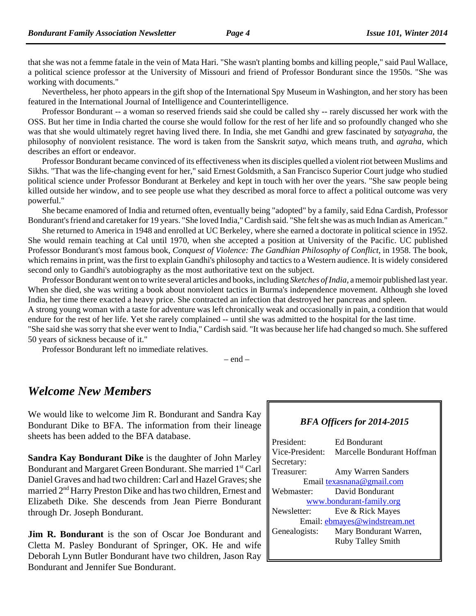that she was not a femme fatale in the vein of Mata Hari. "She wasn't planting bombs and killing people," said Paul Wallace, a political science professor at the University of Missouri and friend of Professor Bondurant since the 1950s. "She was working with documents."

Nevertheless, her photo appears in the gift shop of the International Spy Museum in Washington, and her story has been featured in the International Journal of Intelligence and Counterintelligence.

Professor Bondurant -- a woman so reserved friends said she could be called shy -- rarely discussed her work with the OSS. But her time in India charted the course she would follow for the rest of her life and so profoundly changed who she was that she would ultimately regret having lived there. In India, she met Gandhi and grew fascinated by *satyagraha*, the philosophy of nonviolent resistance. The word is taken from the Sanskrit *satya*, which means truth, and *agraha*, which describes an effort or endeavor.

Professor Bondurant became convinced of its effectiveness when its disciples quelled a violent riot between Muslims and Sikhs. "That was the life-changing event for her," said Ernest Goldsmith, a San Francisco Superior Court judge who studied political science under Professor Bondurant at Berkeley and kept in touch with her over the years. "She saw people being killed outside her window, and to see people use what they described as moral force to affect a political outcome was very powerful."

She became enamored of India and returned often, eventually being "adopted" by a family, said Edna Cardish, Professor Bondurant's friend and caretaker for 19 years. "She loved India," Cardish said. "She felt she was as much Indian as American."

She returned to America in 1948 and enrolled at UC Berkeley, where she earned a doctorate in political science in 1952. She would remain teaching at Cal until 1970, when she accepted a position at University of the Pacific. UC published Professor Bondurant's most famous book, *Conquest of Violence: The Gandhian Philosophy of Conflict*, in 1958. The book, which remains in print, was the first to explain Gandhi's philosophy and tactics to a Western audience. It is widely considered second only to Gandhi's autobiography as the most authoritative text on the subject.

Professor Bondurant went on to write several articles and books, including *Sketches of India*, a memoir published last year. When she died, she was writing a book about nonviolent tactics in Burma's independence movement. Although she loved India, her time there exacted a heavy price. She contracted an infection that destroyed her pancreas and spleen.

A strong young woman with a taste for adventure was left chronically weak and occasionally in pain, a condition that would endure for the rest of her life. Yet she rarely complained -- until she was admitted to the hospital for the last time.

"She said she was sorry that she ever went to India," Cardish said. "It was because her life had changed so much. She suffered 50 years of sickness because of it."

Professor Bondurant left no immediate relatives.

 $-$  end  $-$ 

## *Welcome New Members*

We would like to welcome Jim R. Bondurant and Sandra Kay Bondurant Dike to BFA. The information from their lineage sheets has been added to the BFA database.

**Sandra Kay Bondurant Dike** is the daughter of John Marley Bondurant and Margaret Green Bondurant. She married 1<sup>st</sup> Carl Daniel Graves and had two children: Carl and Hazel Graves; she married 2nd Harry Preston Dike and has two children, Ernest and Elizabeth Dike. She descends from Jean Pierre Bondurant through Dr. Joseph Bondurant.

**Jim R. Bondurant** is the son of Oscar Joe Bondurant and Cletta M. Pasley Bondurant of Springer, OK. He and wife Deborah Lynn Butler Bondurant have two children, Jason Ray Bondurant and Jennifer Sue Bondurant.

#### *BFA Officers for 2014-2015*

| President <sup>.</sup>        | Ed Bondurant               |
|-------------------------------|----------------------------|
| Vice-President:               | Marcelle Bondurant Hoffman |
| Secretary:                    |                            |
| Treasurer:                    | Amy Warren Sanders         |
| Email texasnana@gmail.com     |                            |
| Webmaster:                    | David Bondurant            |
| www.bondurant-family.org      |                            |
| Newsletter:                   | Eve & Rick Mayes           |
| Email: ebmayes@windstream.net |                            |
| Genealogists:                 | Mary Bondurant Warren,     |
|                               | <b>Ruby Talley Smith</b>   |
|                               |                            |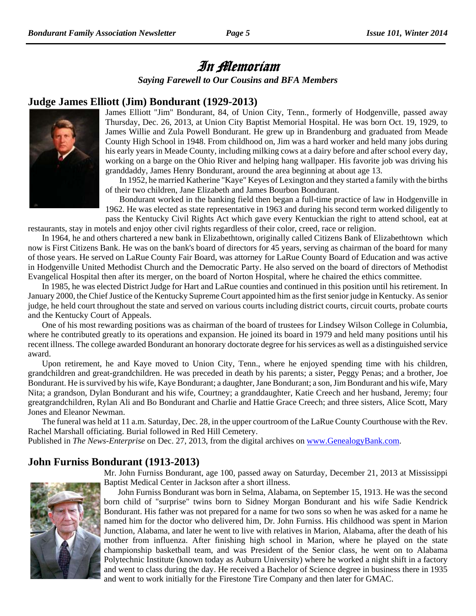# In Memoriam

*Saying Farewell to Our Cousins and BFA Members*

#### **Judge James Elliott (Jim) Bondurant (1929-2013)**



James Elliott "Jim" Bondurant, 84, of Union City, Tenn., formerly of Hodgenville, passed away Thursday, Dec. 26, 2013, at Union City Baptist Memorial Hospital. He was born Oct. 19, 1929, to James Willie and Zula Powell Bondurant. He grew up in Brandenburg and graduated from Meade County High School in 1948. From childhood on, Jim was a hard worker and held many jobs during his early years in Meade County, including milking cows at a dairy before and after school every day, working on a barge on the Ohio River and helping hang wallpaper. His favorite job was driving his granddaddy, James Henry Bondurant, around the area beginning at about age 13.

In 1952, he married Katherine "Kaye" Keyes of Lexington and they started a family with the births of their two children, Jane Elizabeth and James Bourbon Bondurant.

Bondurant worked in the banking field then began a full-time practice of law in Hodgenville in 1962. He was elected as state representative in 1963 and during his second term worked diligently to pass the Kentucky Civil Rights Act which gave every Kentuckian the right to attend school, eat at

restaurants, stay in motels and enjoy other civil rights regardless of their color, creed, race or religion.

In 1964, he and others chartered a new bank in Elizabethtown, originally called Citizens Bank of Elizabethtown which now is First Citizens Bank. He was on the bank's board of directors for 45 years, serving as chairman of the board for many of those years. He served on LaRue County Fair Board, was attorney for LaRue County Board of Education and was active in Hodgenville United Methodist Church and the Democratic Party. He also served on the board of directors of Methodist Evangelical Hospital then after its merger, on the board of Norton Hospital, where he chaired the ethics committee.

In 1985, he was elected District Judge for Hart and LaRue counties and continued in this position until his retirement. In January 2000, the Chief Justice of the Kentucky Supreme Court appointed him as the first senior judge in Kentucky. As senior judge, he held court throughout the state and served on various courts including district courts, circuit courts, probate courts and the Kentucky Court of Appeals.

One of his most rewarding positions was as chairman of the board of trustees for Lindsey Wilson College in Columbia, where he contributed greatly to its operations and expansion. He joined its board in 1979 and held many positions until his recent illness. The college awarded Bondurant an honorary doctorate degree for his services as well as a distinguished service award.

Upon retirement, he and Kaye moved to Union City, Tenn., where he enjoyed spending time with his children, grandchildren and great-grandchildren. He was preceded in death by his parents; a sister, Peggy Penas; and a brother, Joe Bondurant. He is survived by his wife, Kaye Bondurant; a daughter, Jane Bondurant; a son, Jim Bondurant and his wife, Mary Nita; a grandson, Dylan Bondurant and his wife, Courtney; a granddaughter, Katie Creech and her husband, Jeremy; four greatgrandchildren, Rylan Ali and Bo Bondurant and Charlie and Hattie Grace Creech; and three sisters, Alice Scott, Mary Jones and Eleanor Newman.

The funeral was held at 11 a.m. Saturday, Dec. 28, in the upper courtroom of the LaRue County Courthouse with the Rev. Rachel Marshall officiating. Burial followed in Red Hill Cemetery.

Published in *The News-Enterprise* on Dec. 27, 2013, from the digital archives on www.GenealogyBank.com.

### **John Furniss Bondurant (1913-2013)**

Mr. John Furniss Bondurant, age 100, passed away on Saturday, December 21, 2013 at Mississippi Baptist Medical Center in Jackson after a short illness.



John Furniss Bondurant was born in Selma, Alabama, on September 15, 1913. He was the second born child of "surprise" twins born to Sidney Morgan Bondurant and his wife Sadie Kendrick Bondurant. His father was not prepared for a name for two sons so when he was asked for a name he named him for the doctor who delivered him, Dr. John Furniss. His childhood was spent in Marion Junction, Alabama, and later he went to live with relatives in Marion, Alabama, after the death of his mother from influenza. After finishing high school in Marion, where he played on the state championship basketball team, and was President of the Senior class, he went on to Alabama Polytechnic Institute (known today as Auburn University) where he worked a night shift in a factory

and went to class during the day. He received a Bachelor of Science degree in business there in 1935

and went to work initially for the Firestone Tire Company and then later for GMAC.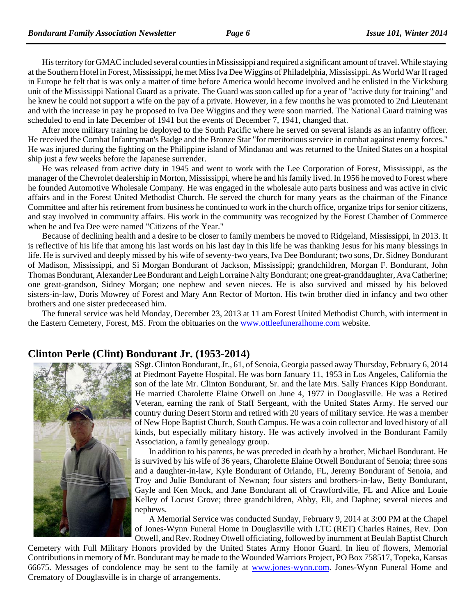His territory for GMAC included several counties in Mississippi and required a significant amount of travel. While staying at the Southern Hotel in Forest, Mississippi, he met Miss Iva Dee Wiggins of Philadelphia, Mississippi. As World War II raged in Europe he felt that is was only a matter of time before America would become involved and he enlisted in the Vicksburg unit of the Mississippi National Guard as a private. The Guard was soon called up for a year of "active duty for training" and he knew he could not support a wife on the pay of a private. However, in a few months he was promoted to 2nd Lieutenant and with the increase in pay he proposed to Iva Dee Wiggins and they were soon married. The National Guard training was scheduled to end in late December of 1941 but the events of December 7, 1941, changed that.

After more military training he deployed to the South Pacific where he served on several islands as an infantry officer. He received the Combat Infantryman's Badge and the Bronze Star "for meritorious service in combat against enemy forces." He was injured during the fighting on the Philippine island of Mindanao and was returned to the United States on a hospital ship just a few weeks before the Japanese surrender.

He was released from active duty in 1945 and went to work with the Lee Corporation of Forest, Mississippi, as the manager of the Chevrolet dealership in Morton, Mississippi, where he and his family lived. In 1956 he moved to Forest where he founded Automotive Wholesale Company. He was engaged in the wholesale auto parts business and was active in civic affairs and in the Forest United Methodist Church. He served the church for many years as the chairman of the Finance Committee and after his retirement from business he continued to work in the church office, organize trips for senior citizens, and stay involved in community affairs. His work in the community was recognized by the Forest Chamber of Commerce when he and Iva Dee were named "Citizens of the Year."

Because of declining health and a desire to be closer to family members he moved to Ridgeland, Mississippi, in 2013. It is reflective of his life that among his last words on his last day in this life he was thanking Jesus for his many blessings in life. He is survived and deeply missed by his wife of seventy-two years, Iva Dee Bondurant; two sons, Dr. Sidney Bondurant of Madison, Mississippi, and Si Morgan Bondurant of Jackson, Mississippi; grandchildren, Morgan F. Bondurant, John Thomas Bondurant, Alexander Lee Bondurant and Leigh Lorraine Nalty Bondurant; one great-granddaughter, Ava Catherine; one great-grandson, Sidney Morgan; one nephew and seven nieces. He is also survived and missed by his beloved sisters-in-law, Doris Mowrey of Forest and Mary Ann Rector of Morton. His twin brother died in infancy and two other brothers and one sister predeceased him.

The funeral service was held Monday, December 23, 2013 at 11 am Forest United Methodist Church, with interment in the Eastern Cemetery, Forest, MS. From the obituaries on the www.ottleefuneralhome.com website.

#### **Clinton Perle (Clint) Bondurant Jr. (1953-2014)**



SSgt. Clinton Bondurant, Jr., 61, of Senoia, Georgia passed away Thursday, February 6, 2014 at Piedmont Fayette Hospital. He was born January 11, 1953 in Los Angeles, California the son of the late Mr. Clinton Bondurant, Sr. and the late Mrs. Sally Frances Kipp Bondurant. He married Charolette Elaine Otwell on June 4, 1977 in Douglasville. He was a Retired Veteran, earning the rank of Staff Sergeant, with the United States Army. He served our country during Desert Storm and retired with 20 years of military service. He was a member of New Hope Baptist Church, South Campus. He was a coin collector and loved history of all kinds, but especially military history. He was actively involved in the Bondurant Family Association, a family genealogy group.

In addition to his parents, he was preceded in death by a brother, Michael Bondurant. He is survived by his wife of 36 years, Charolette Elaine Otwell Bondurant of Senoia; three sons and a daughter-in-law, Kyle Bondurant of Orlando, FL, Jeremy Bondurant of Senoia, and Troy and Julie Bondurant of Newnan; four sisters and brothers-in-law, Betty Bondurant, Gayle and Ken Mock, and Jane Bondurant all of Crawfordville, FL and Alice and Louie Kelley of Locust Grove; three grandchildren, Abby, Eli, and Daphne; several nieces and nephews.

A Memorial Service was conducted Sunday, February 9, 2014 at 3:00 PM at the Chapel of Jones-Wynn Funeral Home in Douglasville with LTC (RET) Charles Raines, Rev. Don Otwell, and Rev. Rodney Otwell officiating, followed by inurnment at Beulah Baptist Church

Cemetery with Full Military Honors provided by the United States Army Honor Guard. In lieu of flowers, Memorial Contributions in memory of Mr. Bondurant may be made to the Wounded Warriors Project, PO Box 758517, Topeka, Kansas 66675. Messages of condolence may be sent to the family at www.jones-wynn.com. Jones-Wynn Funeral Home and Crematory of Douglasville is in charge of arrangements.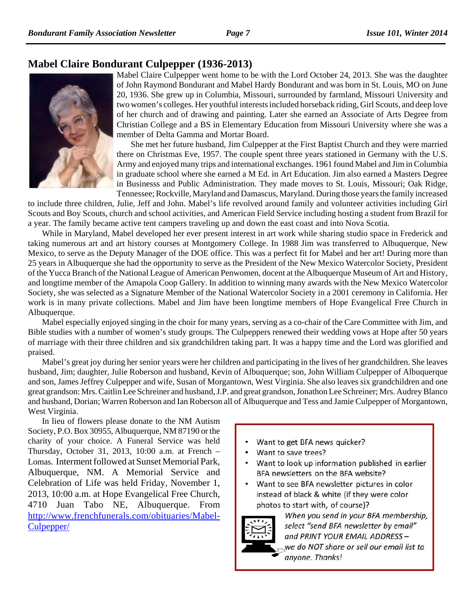## **Mabel Claire Bondurant Culpepper (1936-2013)**



Mabel Claire Culpepper went home to be with the Lord October 24, 2013. She was the daughter of John Raymond Bondurant and Mabel Hardy Bondurant and was born in St. Louis, MO on June 20, 1936. She grew up in Columbia, Missouri, surrounded by farmland, Missouri University and two women's colleges. Her youthful interests included horseback riding, Girl Scouts, and deep love of her church and of drawing and painting. Later she earned an Associate of Arts Degree from Christian College and a BS in Elementary Education from Missouri University where she was a member of Delta Gamma and Mortar Board.

She met her future husband, Jim Culpepper at the First Baptist Church and they were married there on Christmas Eve, 1957. The couple spent three years stationed in Germany with the U.S. Army and enjoyed many trips and international exchanges. 1961 found Mabel and Jim in Columbia in graduate school where she earned a M Ed. in Art Education. Jim also earned a Masters Degree in Businesss and Public Administration. They made moves to St. Louis, Missouri; Oak Ridge, Tennessee; Rockville, Maryland and Damascus, Maryland. During those years the family increased

to include three children, Julie, Jeff and John. Mabel's life revolved around family and volunteer activities including Girl Scouts and Boy Scouts, church and school activities, and American Field Service including hosting a student from Brazil for a year. The family became active tent campers traveling up and down the east coast and into Nova Scotia.

While in Maryland, Mabel developed her ever present interest in art work while sharing studio space in Frederick and taking numerous art and art history courses at Montgomery College. In 1988 Jim was transferred to Albuquerque, New Mexico, to serve as the Deputy Manager of the DOE office. This was a perfect fit for Mabel and her art! During more than 25 years in Albuquerque she had the opportunity to serve as the President of the New Mexico Watercolor Society, President of the Yucca Branch of the National League of American Penwomen, docent at the Albuquerque Museum of Art and History, and longtime member of the Amapola Coop Gallery. In addition to winning many awards with the New Mexico Watercolor Society, she was selected as a Signature Member of the National Watercolor Society in a 2001 ceremony in California. Her work is in many private collections. Mabel and Jim have been longtime members of Hope Evangelical Free Church in Albuquerque.

Mabel especially enjoyed singing in the choir for many years, serving as a co-chair of the Care Committee with Jim, and Bible studies with a number of women's study groups. The Culpeppers renewed their wedding vows at Hope after 50 years of marriage with their three children and six grandchildren taking part. It was a happy time and the Lord was glorified and praised.

Mabel's great joy during her senior years were her children and participating in the lives of her grandchildren. She leaves husband, Jim; daughter, Julie Roberson and husband, Kevin of Albuquerque; son, John William Culpepper of Albuquerque and son, James Jeffrey Culpepper and wife, Susan of Morgantown, West Virginia. She also leaves six grandchildren and one great grandson: Mrs. Caitlin Lee Schreiner and husband, J.P. and great grandson, Jonathon Lee Schreiner; Mrs. Audrey Blanco and husband, Dorian; Warren Roberson and Ian Roberson all of Albuquerque and Tess and Jamie Culpepper of Morgantown, West Virginia.

In lieu of flowers please donate to the NM Autism Society, P.O. Box 30955, Albuquerque, NM 87190 or the charity of your choice. A Funeral Service was held Thursday, October 31, 2013, 10:00 a.m. at French – Lomas. Interment followed at Sunset Memorial Park, Albuquerque, NM. A Memorial Service and Celebration of Life was held Friday, November 1, 2013, 10:00 a.m. at Hope Evangelical Free Church, 4710 Juan Tabo NE, Albuquerque. From http://www.frenchfunerals.com/obituaries/Mabel-Culpepper/

- $\bullet$ Want to get BFA news quicker?
- Want to save trees?
- Want to look up information published in earlier BFA newsletters on the BFA website?
- Want to see BFA newsletter pictures in color instead of black & white (if they were color photos to start with, of course)?



When you send in your BFA membership, select "send BFA newsletter by email" and PRINT YOUR EMAIL ADDRESS we do NOT share or sell our email list to anyone. Thanks!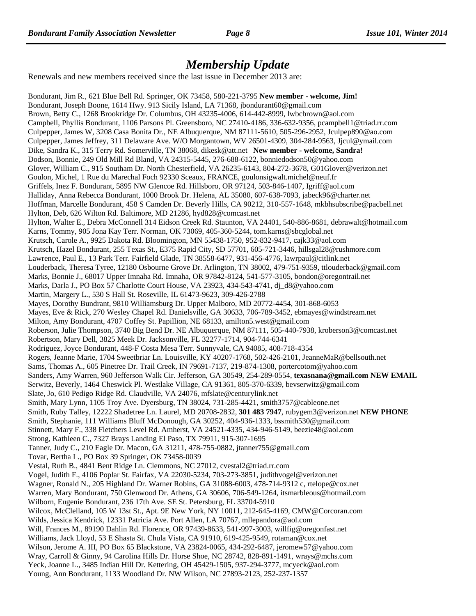## *Membership Update*

Renewals and new members received since the last issue in December 2013 are:

Bondurant, Jim R., 621 Blue Bell Rd. Springer, OK 73458, 580-221-3795 **New member - welcome, Jim!** Bondurant, Joseph Boone, 1614 Hwy. 913 Sicily Island, LA 71368, jbondurant60@gmail.com Brown, Betty C., 1268 Brookridge Dr. Columbus, OH 43235-4006, 614-442-8999, lwbcbrown@aol.com Campbell, Phyllis Bondurant, 1106 Parsons Pl. Greensboro, NC 27410-4186, 336-632-9356, pcampbell1@triad.rr.com Culpepper, James W, 3208 Casa Bonita Dr., NE Albuquerque, NM 87111-5610, 505-296-2952, Jculpep890@ao.com Culpepper, James Jeffrey, 311 Delaware Ave. W/O Morgantown, WV 26501-4309, 304-284-9563, Jjcul@ymail.com Dike, Sandra K., 315 Terry Rd. Somerville, TN 38068, dikesk@att.net **New member - welcome, Sandra!** Dodson, Bonnie, 249 Old Mill Rd Bland, VA 24315-5445, 276-688-6122, bonniedodson50@yahoo.com Glover, William C., 915 Southam Dr. North Chesterfield, VA 26235-6143, 804-272-3678, G01Glover@verizon.net Goulon, Michel, 1 Rue du Marechal Foch 92330 Sceaux, FRANCE, goulonsigwalt.michel@neuf.fr Griffels, Inez F. Bondurant, 5895 NW Glencoe Rd. Hillsboro, OR 97124, 503-846-1407, Igriff@aol.com Halliday, Anna Rebecca Bondurant, 1000 Brook Dr. Helena, AL 35080, 607-638-7093, jabeck96@charter.net Hoffman, Marcelle Bondurant, 458 S Camden Dr. Beverly Hills, CA 90212, 310-557-1648, mkbhsubscribe@pacbell.net Hylton, Deb, 626 Wilton Rd. Baltimore, MD 21286, hyd828@comcast.net Hylton, Walter E., Debra McConnell 314 Eidson Creek Rd. Staunton, VA 24401, 540-886-8681, debrawalt@hotmail.com Karns, Tommy, 905 Jona Kay Terr. Norman, OK 73069, 405-360-5244, tom.karns@sbcglobal.net Krutsch, Carole A., 9925 Dakota Rd. Bloomington, MN 55438-1750, 952-832-9417, cajk33@aol.com Krutsch, Hazel Bondurant, 255 Texas St., E375 Rapid City, SD 57701, 605-721-3446, hillsgal28@rushmore.com Lawrence, Paul E., 13 Park Terr. Fairfield Glade, TN 38558-6477, 931-456-4776, lawrpaul@citlink.net Louderback, Theresa Tyree, 12180 Osbourne Grove Dr. Arlington, TN 38002, 479-751-9359, ttlouderback@gmail.com Marks, Bonnie J., 68017 Upper Imnaha Rd. Imnaha, OR 97842-8124, 541-577-3105, bondon@oregontrail.net Marks, Darla J., PO Box 57 Charlotte Court House, VA 23923, 434-543-4741, dj\_d8@yahoo.com Martin, Margery L., 530 S Hall St. Roseville, IL 61473-9623, 309-426-2788 Mayes, Dorothy Bundrant, 9810 Williamsburg Dr. Upper Malboro, MD 20772-4454, 301-868-6053 Mayes, Eve & Rick, 270 Wesley Chapel Rd. Danielsville, GA 30633, 706-789-3452, ebmayes@windstream.net Milton, Amy Bondurant, 4707 Coffey St. Papillion, NE 68133, amilton5.west@gmail.com Roberson, Julie Thompson, 3740 Big Bend Dr. NE Albuquerque, NM 87111, 505-440-7938, kroberson3@comcast.net Robertson, Mary Dell, 3825 Meek Dr. Jacksonville, FL 32277-1714, 904-744-6341 Rodriguez, Joyce Bondurant, 448-F Costa Mesa Terr. Sunnyvale, CA 94085, 408-718-4354 Rogers, Jeanne Marie, 1704 Sweetbriar Ln. Louisville, KY 40207-1768, 502-426-2101, JeanneMaR@bellsouth.net Sams, Thomas A., 605 Pinetree Dr. Trail Creek, IN 79691-7137, 219-874-1308, portercotom@yahoo.com Sanders, Amy Warren, 960 Jefferson Walk Cir. Jefferson, GA 30549, 254-289-0554, **texasnana@gmail.com NEW EMAIL** Serwitz, Beverly, 1464 Cheswick Pl. Westlake Village, CA 91361, 805-370-6339, bevserwitz@gmail.com Slate, Jo, 610 Pedigo Ridge Rd. Claudville, VA 24076, mfslate@centurylink.net Smith, Mary Lynn, 1105 Troy Ave. Dyersburg, TN 38024, 731-285-4421, smith3757@cableone.net Smith, Ruby Talley, 12222 Shadetree Ln. Laurel, MD 20708-2832, **301 483 7947**, rubygem3@verizon.net **NEW PHONE** Smith, Stephanie, 111 Williams Bluff McDonough, GA 30252, 404-936-1333, bssmith530@gmail.com Stinnett, Mary F., 338 Fletchers Level Rd. Amherst, VA 24521-4335, 434-946-5149, beezie48@aol.com Strong, Kathleen C., 7327 Brays Landing El Paso, TX 79911, 915-307-1695 Tanner, Judy C., 210 Eagle Dr. Macon, GA 31211, 478-755-0882, jtanner755@gmail.com Tovar, Bertha L., PO Box 39 Springer, OK 73458-0039 Vestal, Ruth B., 4841 Bent Ridge Ln. Clemmons, NC 27012, cvestal2@triad.rr.com Vogel, Judith F., 4106 Poplar St. Fairfax, VA 22030-5234, 703-273-3851, judithvogel@verizon.net Wagner, Ronald N., 205 Highland Dr. Warner Robins, GA 31088-6003, 478-714-9312 c, rtelope@cox.net Warren, Mary Bondurant, 750 Glenwood Dr. Athens, GA 30606, 706-549-1264, itsmarbleous@hotmail.com Wilborn, Eugenie Bondurant, 236 17th Ave. SE St. Petersburg, FL 33704-5910 Wilcox, McClelland, 105 W 13st St., Apt. 9E New York, NY 10011, 212-645-4169, CMW@Corcoran.com Wilds, Jessica Kendrick, 12331 Patricia Ave. Port Allen, LA 70767, mllepandora@aol.com Will, Frances M., 89190 Dahlin Rd. Florence, OR 97439-8633, 541-997-3003, willfig@oregonfast.net Williams, Jack Lloyd, 53 E Shasta St. Chula Vista, CA 91910, 619-425-9549, rotaman@cox.net Wilson, Jerome A. III, PO Box 65 Blackstone, VA 23824-0065, 434-292-6487, jeromew57@yahoo.com Wray, Carroll & Ginny, 94 Carolina Hills Dr. Horse Shoe, NC 28742, 828-891-1491, wrays@mchs.com Yeck, Joanne L., 3485 Indian Hill Dr. Kettering, OH 45429-1505, 937-294-3777, mcyeck@aol.com Young, Ann Bondurant, 1133 Woodland Dr. NW Wilson, NC 27893-2123, 252-237-1357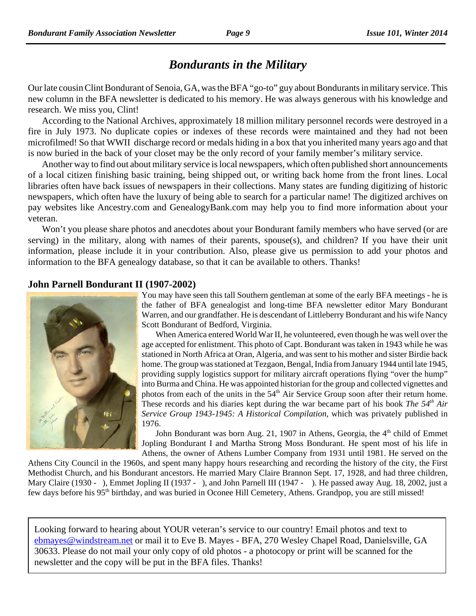# *Bondurants in the Military*

Our late cousin Clint Bondurant of Senoia, GA, was the BFA "go-to" guy about Bondurants in military service. This new column in the BFA newsletter is dedicated to his memory. He was always generous with his knowledge and research. We miss you, Clint!

According to the National Archives, approximately 18 million military personnel records were destroyed in a fire in July 1973. No duplicate copies or indexes of these records were maintained and they had not been microfilmed! So that WWII discharge record or medals hiding in a box that you inherited many years ago and that is now buried in the back of your closet may be the only record of your family member's military service.

Another way to find out about military service is local newspapers, which often published short announcements of a local citizen finishing basic training, being shipped out, or writing back home from the front lines. Local libraries often have back issues of newspapers in their collections. Many states are funding digitizing of historic newspapers, which often have the luxury of being able to search for a particular name! The digitized archives on pay websites like Ancestry.com and GenealogyBank.com may help you to find more information about your veteran.

Won't you please share photos and anecdotes about your Bondurant family members who have served (or are serving) in the military, along with names of their parents, spouse(s), and children? If you have their unit information, please include it in your contribution. Also, please give us permission to add your photos and information to the BFA genealogy database, so that it can be available to others. Thanks!

#### **John Parnell Bondurant II (1907-2002)**



You may have seen this tall Southern gentleman at some of the early BFA meetings - he is the father of BFA genealogist and long-time BFA newsletter editor Mary Bondurant Warren, and our grandfather. He is descendant of Littleberry Bondurant and his wife Nancy Scott Bondurant of Bedford, Virginia.

When America entered World War II, he volunteered, even though he was well over the age accepted for enlistment. This photo of Capt. Bondurant was taken in 1943 while he was stationed in North Africa at Oran, Algeria, and was sent to his mother and sister Birdie back home. The group was stationed at Tezgaon, Bengal, India from January 1944 until late 1945, providing supply logistics support for military aircraft operations flying "over the hump" into Burma and China. He was appointed historian for the group and collected vignettes and photos from each of the units in the  $54<sup>th</sup>$  Air Service Group soon after their return home. These records and his diaries kept during the war became part of his book *The 54<sup>th</sup>* Air *Service Group 1943-1945: A Historical Compilation*, which was privately published in 1976.

John Bondurant was born Aug. 21, 1907 in Athens, Georgia, the 4<sup>th</sup> child of Emmet Jopling Bondurant I and Martha Strong Moss Bondurant. He spent most of his life in Athens, the owner of Athens Lumber Company from 1931 until 1981. He served on the

Athens City Council in the 1960s, and spent many happy hours researching and recording the history of the city, the First Methodist Church, and his Bondurant ancestors. He married Mary Claire Brannon Sept. 17, 1928, and had three children, Mary Claire (1930 - ), Emmet Jopling II (1937 - ), and John Parnell III (1947 - ). He passed away Aug. 18, 2002, just a few days before his 95<sup>th</sup> birthday, and was buried in Oconee Hill Cemetery, Athens. Grandpop, you are still missed!

Looking forward to hearing about YOUR veteran's service to our country! Email photos and text to ebmayes@windstream.net or mail it to Eve B. Mayes - BFA, 270 Wesley Chapel Road, Danielsville, GA 30633. Please do not mail your only copy of old photos - a photocopy or print will be scanned for the newsletter and the copy will be put in the BFA files. Thanks!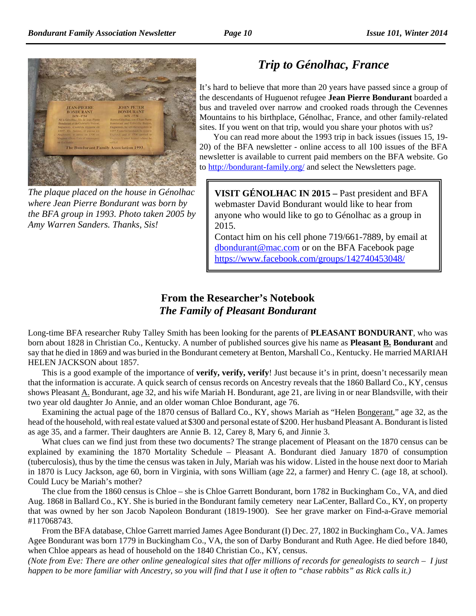

*The plaque placed on the house in Génolhac where Jean Pierre Bondurant was born by the BFA group in 1993. Photo taken 2005 by Amy Warren Sanders. Thanks, Sis!*

# *Trip to Génolhac, France*

It's hard to believe that more than 20 years have passed since a group of the descendants of Huguenot refugee **Jean Pierre Bondurant** boarded a bus and traveled over narrow and crooked roads through the Cevennes Mountains to his birthplace, Génolhac, France, and other family-related sites. If you went on that trip, would you share your photos with us?

You can read more about the 1993 trip in back issues (issues 15, 19- 20) of the BFA newsletter - online access to all 100 issues of the BFA newsletter is available to current paid members on the BFA website. Go to http://bondurant-family.org/ and select the Newsletters page.

**VISIT GÉNOLHAC IN 2015 –** Past president and BFA webmaster David Bondurant would like to hear from anyone who would like to go to Génolhac as a group in 2015.

Contact him on his cell phone 719/661-7889, by email at dbondurant@mac.com or on the BFA Facebook page https://www.facebook.com/groups/142740453048/

## **From the Researcher's Notebook** *The Family of Pleasant Bondurant*

Long-time BFA researcher Ruby Talley Smith has been looking for the parents of **PLEASANT BONDURANT**, who was born about 1828 in Christian Co., Kentucky. A number of published sources give his name as **Pleasant B. Bondurant** and say that he died in 1869 and was buried in the Bondurant cemetery at Benton, Marshall Co., Kentucky. He married MARIAH HELEN JACKSON about 1857.

This is a good example of the importance of **verify, verify, verify**! Just because it's in print, doesn't necessarily mean that the information is accurate. A quick search of census records on Ancestry reveals that the 1860 Ballard Co., KY, census shows Pleasant  $\underline{A}$ . Bondurant, age 32, and his wife Mariah H. Bondurant, age 21, are living in or near Blandsville, with their two year old daughter Jo Annie, and an older woman Chloe Bondurant, age 76.

Examining the actual page of the 1870 census of Ballard Co., KY, shows Mariah as "Helen Bongerant," age 32, as the head of the household, with real estate valued at \$300 and personal estate of \$200. Her husband Pleasant A. Bondurant is listed as age 35, and a farmer. Their daughters are Annie B. 12, Carey 8, Mary 6, and Jinnie 3.

What clues can we find just from these two documents? The strange placement of Pleasant on the 1870 census can be explained by examining the 1870 Mortality Schedule – Pleasant A. Bondurant died January 1870 of consumption (tuberculosis), thus by the time the census was taken in July, Mariah was his widow. Listed in the house next door to Mariah in 1870 is Lucy Jackson, age 60, born in Virginia, with sons William (age 22, a farmer) and Henry C. (age 18, at school). Could Lucy be Mariah's mother?

The clue from the 1860 census is Chloe – she is Chloe Garrett Bondurant, born 1782 in Buckingham Co., VA, and died Aug. 1868 in Ballard Co., KY. She is buried in the Bondurant family cemetery near LaCenter, Ballard Co., KY, on property that was owned by her son Jacob Napoleon Bondurant (1819-1900). See her grave marker on Find-a-Grave memorial #117068743.

From the BFA database, Chloe Garrett married James Agee Bondurant (I) Dec. 27, 1802 in Buckingham Co., VA. James Agee Bondurant was born 1779 in Buckingham Co., VA, the son of Darby Bondurant and Ruth Agee. He died before 1840, when Chloe appears as head of household on the 1840 Christian Co., KY, census.

*(Note from Eve: There are other online genealogical sites that offer millions of records for genealogists to search – I just happen to be more familiar with Ancestry, so you will find that I use it often to "chase rabbits" as Rick calls it.)*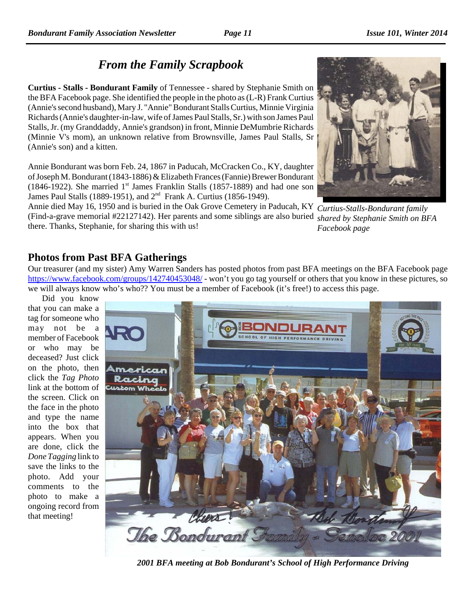**Curtius - Stalls - Bondurant Family** of Tennessee - shared by Stephanie Smith on the BFA Facebook page. She identified the people in the photo as (L-R) Frank Curtius (Annie's second husband), Mary J. "Annie" Bondurant Stalls Curtius, Minnie Virginia Richards (Annie's daughter-in-law, wife of James Paul Stalls, Sr.) with son James Paul Stalls, Jr. (my Granddaddy, Annie's grandson) in front, Minnie DeMumbrie Richards (Minnie V's mom), an unknown relative from Brownsville, James Paul Stalls, Sr (Annie's son) and a kitten.

Annie Bondurant was born Feb. 24, 1867 in Paducah, McCracken Co., KY, daughter of Joseph M. Bondurant (1843-1886) & Elizabeth Frances (Fannie) Brewer Bondurant (1846-1922). She married  $1<sup>st</sup>$  James Franklin Stalls (1857-1889) and had one son James Paul Stalls (1889-1951), and 2nd Frank A. Curtius (1856-1949).

*Curtius-Stalls-Bondurant family* Annie died May 16, 1950 and is buried in the Oak Grove Cemetery in Paducah, KY *shared by Stephanie Smith on BFA* (Find-a-grave memorial #22127142). Her parents and some siblings are also buried *Facebook page* there. Thanks, Stephanie, for sharing this with us!

## **Photos from Past BFA Gatherings**

Our treasurer (and my sister) Amy Warren Sanders has posted photos from past BFA meetings on the BFA Facebook page https://www.facebook.com/groups/142740453048/ - won't you go tag yourself or others that you know in these pictures, so we will always know who's who?? You must be a member of Facebook (it's free!) to access this page.

Did you know that you can make a tag for someone who may not be a member of Facebook or who may be deceased? Just click on the photo, then click the *Tag Photo* link at the bottom of the screen. Click on the face in the photo and type the name into the box that appears. When you are done, click the *Done Tagging* link to save the links to the photo. Add your comments to the photo to make a ongoing record from that meeting!

*2001 BFA meeting at Bob Bondurant's School of High Performance Driving*



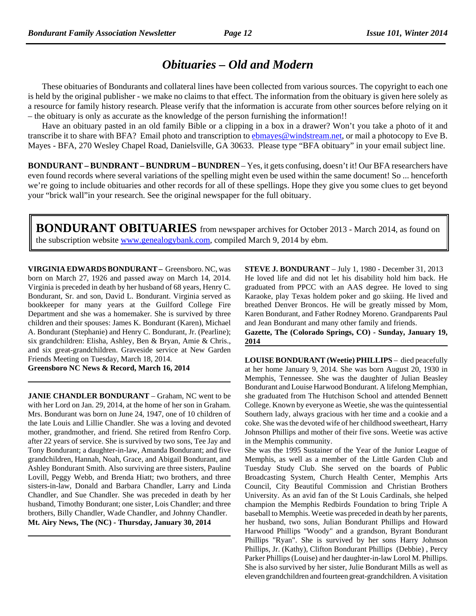# *Obituaries – Old and Modern*

These obituaries of Bondurants and collateral lines have been collected from various sources. The copyright to each one is held by the original publisher - we make no claims to that effect. The information from the obituary is given here solely as a resource for family history research. Please verify that the information is accurate from other sources before relying on it – the obituary is only as accurate as the knowledge of the person furnishing the information!!

Have an obituary pasted in an old family Bible or a clipping in a box in a drawer? Won't you take a photo of it and transcribe it to share with BFA? Email photo and transcription to *ebmayes@windstream.net*, or mail a photocopy to Eve B. Mayes - BFA, 270 Wesley Chapel Road, Danielsville, GA 30633. Please type "BFA obituary" in your email subject line.

**BONDURANT – BUNDRANT – BUNDRUM – BUNDREN** – Yes, it gets confusing, doesn't it! Our BFA researchers have even found records where several variations of the spelling might even be used within the same document! So ... henceforth we're going to include obituaries and other records for all of these spellings. Hope they give you some clues to get beyond your "brick wall"in your research. See the original newspaper for the full obituary.

**BONDURANT OBITUARIES** from newspaper archives for October 2013 - March 2014, as found on the subscription website www.genealogybank.com, compiled March 9, 2014 by ebm.

**VIRGINIA EDWARDS BONDURANT –** Greensboro. NC, was born on March 27, 1926 and passed away on March 14, 2014. Virginia is preceded in death by her husband of 68 years, Henry C. Bondurant, Sr. and son, David L. Bondurant. Virginia served as bookkeeper for many years at the Guilford College Fire Department and she was a homemaker. She is survived by three children and their spouses: James K. Bondurant (Karen), Michael A. Bondurant (Stephanie) and Henry C. Bondurant, Jr. (Pearline); six grandchildren: Elisha, Ashley, Ben & Bryan, Amie & Chris., and six great-grandchildren. Graveside service at New Garden Friends Meeting on Tuesday, March 18, 2014.

**Greensboro NC News & Record, March 16, 2014**

**JANIE CHANDLER BONDURANT** – Graham, NC went to be with her Lord on Jan. 29, 2014, at the home of her son in Graham. Mrs. Bondurant was born on June 24, 1947, one of 10 children of the late Louis and Lillie Chandler. She was a loving and devoted mother, grandmother, and friend. She retired from Renfro Corp. after 22 years of service. She is survived by two sons, Tee Jay and Tony Bondurant; a daughter-in-law, Amanda Bondurant; and five grandchildren, Hannah, Noah, Grace, and Abigail Bondurant, and Ashley Bondurant Smith. Also surviving are three sisters, Pauline Lovill, Peggy Webb, and Brenda Hiatt; two brothers, and three sisters-in-law, Donald and Barbara Chandler, Larry and Linda Chandler, and Sue Chandler. She was preceded in death by her husband, Timothy Bondurant; one sister, Lois Chandler; and three brothers, Billy Chandler, Wade Chandler, and Johnny Chandler. **Mt. Airy News, The (NC) - Thursday, January 30, 2014**

**STEVE J. BONDURANT** – July 1, 1980 - December 31, 2013 He loved life and did not let his disability hold him back. He graduated from PPCC with an AAS degree. He loved to sing Karaoke, play Texas holdem poker and go skiing. He lived and breathed Denver Broncos. He will be greatly missed by Mom, Karen Bondurant, and Father Rodney Moreno. Grandparents Paul and Jean Bondurant and many other family and friends.

**Gazette, The (Colorado Springs, CO) - Sunday, January 19, 2014** 

**LOUISE BONDURANT (Weetie) PHILLIPS** – died peacefully at her home January 9, 2014. She was born August 20, 1930 in Memphis, Tennessee. She was the daughter of Julian Beasley Bondurant and Louise Harwood Bondurant. A lifelong Memphian, she graduated from The Hutchison School and attended Bennett College. Known by everyone as Weetie, she was the quintessential Southern lady, always gracious with her time and a cookie and a coke. She was the devoted wife of her childhood sweetheart, Harry Johnson Phillips and mother of their five sons. Weetie was active in the Memphis community.

She was the 1995 Sustainer of the Year of the Junior League of Memphis, as well as a member of the Little Garden Club and Tuesday Study Club. She served on the boards of Public Broadcasting System, Church Health Center, Memphis Arts Council, City Beautiful Commission and Christian Brothers University. As an avid fan of the St Louis Cardinals, she helped champion the Memphis Redbirds Foundation to bring Triple A baseball to Memphis. Weetie was preceded in death by her parents, her husband, two sons, Julian Bondurant Phillips and Howard Harwood Phillips "Woody" and a grandson, Byrant Bondurant Phillips "Ryan". She is survived by her sons Harry Johnson Phillips, Jr. (Kathy), Clifton Bondurant Phillips (Debbie) , Percy Parker Phillips (Louise) and her daughter-in-law Lorol M. Phillips. She is also survived by her sister, Julie Bondurant Mills as well as eleven grandchildren and fourteen great-grandchildren. A visitation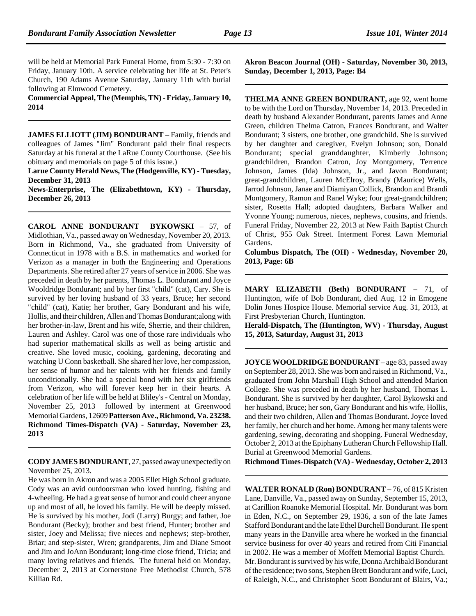will be held at Memorial Park Funeral Home, from 5:30 - 7:30 on Friday, January 10th. A service celebrating her life at St. Peter's Church, 190 Adams Avenue Saturday, January 11th with burial following at Elmwood Cemetery.

**Commercial Appeal, The (Memphis, TN) - Friday, January 10, 2014**

**JAMES ELLIOTT (JIM) BONDURANT** – Family, friends and colleagues of James "Jim" Bondurant paid their final respects Saturday at his funeral at the LaRue County Courthouse. (See his obituary and memorials on page 5 of this issue.)

**Larue County Herald News, The (Hodgenville, KY) - Tuesday, December 31, 2013**

**News-Enterprise, The (Elizabethtown, KY) - Thursday, December 26, 2013**

**CAROL ANNE BONDURANT BYKOWSKI** – 57, of Midlothian, Va., passed away on Wednesday, November 20, 2013. Born in Richmond, Va., she graduated from University of Connecticut in 1978 with a B.S. in mathematics and worked for Verizon as a manager in both the Engineering and Operations Departments. She retired after 27 years of service in 2006. She was preceded in death by her parents, Thomas L. Bondurant and Joyce Wooldridge Bondurant; and by her first "child" (cat), Cary. She is survived by her loving husband of 33 years, Bruce; her second "child" (cat), Katie; her brother, Gary Bondurant and his wife, Hollis, and their children, Allen and Thomas Bondurant;along with her brother-in-law, Brent and his wife, Sherrie, and their children, Lauren and Ashley. Carol was one of those rare individuals who had superior mathematical skills as well as being artistic and creative. She loved music, cooking, gardening, decorating and watching U Conn basketball. She shared her love, her compassion, her sense of humor and her talents with her friends and family unconditionally. She had a special bond with her six girlfriends from Verizon, who will forever keep her in their hearts. A celebration of her life will be held at Bliley's - Central on Monday, November 25, 2013 followed by interment at Greenwood Memorial Gardens, 12609 **Patterson Ave., Richmond, Va. 23238. Richmond Times-Dispatch (VA) - Saturday, November 23, 2013**

**CODY JAMES BONDURANT**, 27, passed away unexpectedly on November 25, 2013.

He was born in Akron and was a 2005 Ellet High School graduate. Cody was an avid outdoorsman who loved hunting, fishing and 4-wheeling. He had a great sense of humor and could cheer anyone up and most of all, he loved his family. He will be deeply missed. He is survived by his mother, Jodi (Larry) Burgy; and father, Joe Bondurant (Becky); brother and best friend, Hunter; brother and sister, Joey and Melissa; five nieces and nephews; step-brother, Briar; and step-sister, Wren; grandparents, Jim and Diane Smoot and Jim and JoAnn Bondurant; long-time close friend, Tricia; and many loving relatives and friends. The funeral held on Monday, December 2, 2013 at Cornerstone Free Methodist Church, 578 Killian Rd.

**Akron Beacon Journal (OH) - Saturday, November 30, 2013, Sunday, December 1, 2013, Page: B4**

**THELMA ANNE GREEN BONDURANT,** age 92, went home to be with the Lord on Thursday, November 14, 2013. Preceded in death by husband Alexander Bondurant, parents James and Anne Green, children Thelma Catron, Frances Bondurant, and Walter Bondurant; 3 sisters, one brother, one grandchild. She is survived by her daughter and caregiver, Evelyn Johnson; son, Donald Bondurant; special granddaughter, Kimberly Johnson; grandchildren, Brandon Catron, Joy Montgomery, Terrence Johnson, James (Ida) Johnson, Jr., and Javon Bondurant; great-grandchildren, Lauren McElroy, Brandy (Maurice) Wells, Jarrod Johnson, Janae and Diamiyan Collick, Brandon and Brandi Montgomery, Ramon and Ranel Wyke; four great-grandchildren; sister, Rosetta Hall; adopted daughters, Barbara Walker and Yvonne Young; numerous, nieces, nephews, cousins, and friends. Funeral Friday, November 22, 2013 at New Faith Baptist Church of Christ, 955 Oak Street. Interment Forest Lawn Memorial Gardens.

**Columbus Dispatch, The (OH) - Wednesday, November 20, 2013, Page: 6B**

**MARY ELIZABETH (Beth) BONDURANT** – 71, of Huntington, wife of Bob Bondurant, died Aug. 12 in Emogene Dolin Jones Hospice House. Memorial service Aug. 31, 2013, at First Presbyterian Church, Huntington.

**Herald-Dispatch, The (Huntington, WV) - Thursday, August 15, 2013, Saturday, August 31, 2013**

**JOYCE WOOLDRIDGE BONDURANT** – age 83, passed away on September 28, 2013. She was born and raised in Richmond, Va., graduated from John Marshall High School and attended Marion College. She was preceded in death by her husband, Thomas L. Bondurant. She is survived by her daughter, Carol Bykowski and her husband, Bruce; her son, Gary Bondurant and his wife, Hollis, and their two children, Allen and Thomas Bondurant. Joyce loved her family, her church and her home. Among her many talents were gardening, sewing, decorating and shopping. Funeral Wednesday, October 2, 2013 at the Epiphany Lutheran Church Fellowship Hall. Burial at Greenwood Memorial Gardens.

**Richmond Times-Dispatch (VA) - Wednesday, October 2, 2013**

**WALTER RONALD (Ron) BONDURANT** – 76, of 815 Kristen Lane, Danville, Va., passed away on Sunday, September 15, 2013, at Carillion Roanoke Memorial Hospital. Mr. Bondurant was born in Eden, N.C., on September 29, 1936, a son of the late James Stafford Bondurant and the late Ethel Burchell Bondurant. He spent many years in the Danville area where he worked in the financial service business for over 40 years and retired from Citi Financial in 2002. He was a member of Moffett Memorial Baptist Church. Mr. Bondurant is survived by his wife, Donna Archibald Bondurant of the residence; two sons, Stephen Brett Bondurant and wife, Luci, of Raleigh, N.C., and Christopher Scott Bondurant of Blairs, Va.;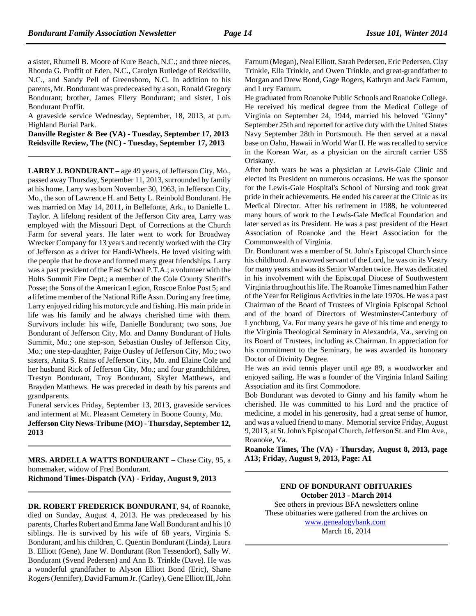a sister, Rhumell B. Moore of Kure Beach, N.C.; and three nieces, Rhonda G. Proffit of Eden, N.C., Carolyn Rutledge of Reidsville, N.C., and Sandy Pell of Greensboro, N.C. In addition to his parents, Mr. Bondurant was predeceased by a son, Ronald Gregory Bondurant; brother, James Ellery Bondurant; and sister, Lois Bondurant Proffit.

A graveside service Wednesday, September, 18, 2013, at p.m. Highland Burial Park.

**Danville Register & Bee (VA) - Tuesday, September 17, 2013 Reidsville Review, The (NC) - Tuesday, September 17, 2013**

**LARRY J. BONDURANT** – age 49 years, of Jefferson City, Mo., passed away Thursday, September 11, 2013, surrounded by family at his home. Larry was born November 30, 1963, in Jefferson City, Mo., the son of Lawrence H. and Betty L. Reinbold Bondurant. He was married on May 14, 2011, in Bellefonte, Ark., to Danielle L. Taylor. A lifelong resident of the Jefferson City area, Larry was employed with the Missouri Dept. of Corrections at the Church Farm for several years. He later went to work for Broadway Wrecker Company for 13 years and recently worked with the City of Jefferson as a driver for Handi-Wheels. He loved visiting with the people that he drove and formed many great friendships. Larry was a past president of the East School P.T.A.; a volunteer with the Holts Summit Fire Dept.; a member of the Cole County Sheriff's Posse; the Sons of the American Legion, Roscoe Enloe Post 5; and a lifetime member of the National Rifle Assn. During any free time, Larry enjoyed riding his motorcycle and fishing. His main pride in life was his family and he always cherished time with them. Survivors include: his wife, Danielle Bondurant; two sons, Joe Bondurant of Jefferson City, Mo. and Danny Bondurant of Holts Summit, Mo.; one step-son, Sebastian Ousley of Jefferson City, Mo.; one step-daughter, Paige Ousley of Jefferson City, Mo.; two sisters, Anita S. Rains of Jefferson City, Mo. and Elaine Cole and her husband Rick of Jefferson City, Mo.; and four grandchildren, Trestyn Bondurant, Troy Bondurant, Skyler Matthews, and Brayden Matthews. He was preceded in death by his parents and grandparents.

Funeral services Friday, September 13, 2013, graveside services and interment at Mt. Pleasant Cemetery in Boone County, Mo.

**Jefferson City News-Tribune (MO) - Thursday, September 12, 2013**

**MRS. ARDELLA WATTS BONDURANT** – Chase City, 95, a homemaker, widow of Fred Bondurant. **Richmond Times-Dispatch (VA) - Friday, August 9, 2013**

**DR. ROBERT FREDERICK BONDURANT**, 94, of Roanoke, died on Sunday, August 4, 2013. He was predeceased by his parents, Charles Robert and Emma Jane Wall Bondurant and his 10 siblings. He is survived by his wife of 68 years, Virginia S. Bondurant, and his children, C. Quentin Bondurant (Linda), Laura B. Elliott (Gene), Jane W. Bondurant (Ron Tessendorf), Sally W. Bondurant (Svend Pedersen) and Ann B. Trinkle (Dave). He was a wonderful grandfather to Alyson Elliott Bond (Eric), Shane Rogers (Jennifer), David Farnum Jr. (Carley), Gene Elliott III, John Farnum (Megan), Neal Elliott, Sarah Pedersen, Eric Pedersen, Clay Trinkle, Ella Trinkle, and Owen Trinkle, and great-grandfather to Morgan and Drew Bond, Gage Rogers, Kathryn and Jack Farnum, and Lucy Farnum.

He graduated from Roanoke Public Schools and Roanoke College. He received his medical degree from the Medical College of Virginia on September 24, 1944, married his beloved "Ginny" September 25th and reported for active duty with the United States Navy September 28th in Portsmouth. He then served at a naval base on Oahu, Hawaii in World War II. He was recalled to service in the Korean War, as a physician on the aircraft carrier USS Oriskany.

After both wars he was a physician at Lewis-Gale Clinic and elected its President on numerous occasions. He was the sponsor for the Lewis-Gale Hospital's School of Nursing and took great pride in their achievements. He ended his career at the Clinic as its Medical Director. After his retirement in 1988, he volunteered many hours of work to the Lewis-Gale Medical Foundation and later served as its President. He was a past president of the Heart Association of Roanoke and the Heart Association for the Commonwealth of Virginia.

Dr. Bondurant was a member of St. John's Episcopal Church since his childhood. An avowed servant of the Lord, he was on its Vestry for many years and was its Senior Warden twice. He was dedicated in his involvement with the Episcopal Diocese of Southwestern Virginia throughout his life. The Roanoke Times named him Father of the Year for Religious Activities in the late 1970s. He was a past Chairman of the Board of Trustees of Virginia Episcopal School and of the board of Directors of Westminster-Canterbury of Lynchburg, Va. For many years he gave of his time and energy to the Virginia Theological Seminary in Alexandria, Va., serving on its Board of Trustees, including as Chairman. In appreciation for his commitment to the Seminary, he was awarded its honorary Doctor of Divinity Degree.

He was an avid tennis player until age 89, a woodworker and enjoyed sailing. He was a founder of the Virginia Inland Sailing Association and its first Commodore.

Bob Bondurant was devoted to Ginny and his family whom he cherished. He was committed to his Lord and the practice of medicine, a model in his generosity, had a great sense of humor, and was a valued friend to many. Memorial service Friday, August 9, 2013, at St. John's Episcopal Church, Jefferson St. and Elm Ave., Roanoke, Va.

**Roanoke Times, The (VA) - Thursday, August 8, 2013, page A13; Friday, August 9, 2013, Page: A1**

> **END OF BONDURANT OBITUARIES October 2013 - March 2014**

See others in previous BFA newsletters online These obituaries were gathered from the archives on www.genealogybank.com March 16, 2014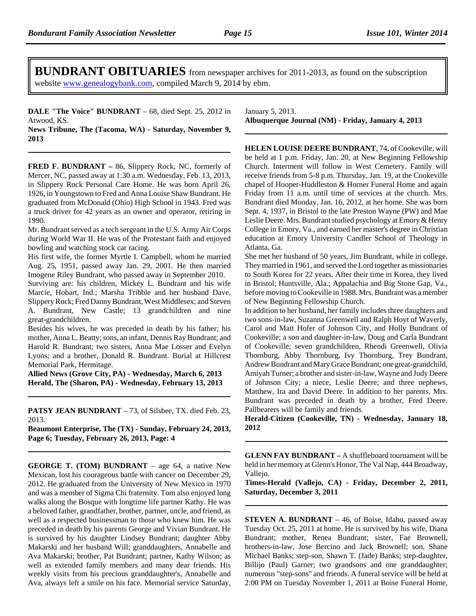**BUNDRANT OBITUARIES** from newspaper archives for 2011-2013, as found on the subscription website www.genealogybank.com, compiled March 9, 2014 by ebm.

**DALE "The Voice" BUNDRANT** – 68, died Sept. 25, 2012 in Atwood, KS.

**News Tribune, The (Tacoma, WA) - Saturday, November 9, 2013**

**FRED F. BUNDRANT –** 86, Slippery Rock, NC, formerly of Mercer, NC, passed away at 1:30 a.m. Wednesday, Feb. 13, 2013, in Slippery Rock Personal Care Home. He was born April 26, 1926, in Youngstown to Fred and Anna Louise Shaw Bundrant. He graduated from McDonald (Ohio) High School in 1943. Fred was a truck driver for 42 years as an owner and operator, retiring in 1990.

Mr. Bundrant served as a tech sergeant in the U.S. Army Air Corps during World War II. He was of the Protestant faith and enjoyed bowling and watching stock car racing.

His first wife, the former Myrtle I. Campbell, whom he married Aug. 25, 1951, passed away Jan. 29, 2001. He then married Imogene Riley Bundrant, who passed away in September 2010.

Surviving are: his children, Mickey L. Bundrant and his wife Marcie, Hobart, Ind.; Marsha Tribble and her husband Dave, Slippery Rock; Fred Danny Bundrant, West Middlesex; and Steven A. Bundrant, New Castle; 13 grandchildren and nine great-grandchildren.

Besides his wives, he was preceded in death by his father; his mother, Anna L. Beatty; sons, an infant, Dennis Ray Bundrant; and Harold R. Bundrant; two sisters, Anna Mae Losser and Evelyn Lyons; and a brother, Donald R. Bundrant. Burial at Hillcrest Memorial Park, Hermitage.

**Allied News (Grove City, PA) - Wednesday, March 6, 2013 Herald, The (Sharon, PA) - Wednesday, February 13, 2013**

**PATSY JEAN BUNDRANT** – 73, of Silsbee, TX. died Feb. 23, 2013.

**Beaumont Enterprise, The (TX) - Sunday, February 24, 2013, Page 6; Tuesday, February 26, 2013, Page: 4**

**GEORGE T. (TOM) BUNDRANT** – age 64, a native New Mexican, lost his courageous battle with cancer on December 29, 2012. He graduated from the University of New Mexico in 1970 and was a member of Sigma Chi fraternity. Tom also enjoyed long walks along the Bosque with longtime life partner Kathy. He was a beloved father, grandfather, brother, partner, uncle, and friend, as well as a respected businessman to those who knew him. He was preceded in death by his parents George and Vivian Bundrant. He is survived by his daughter Lindsey Bundrant; daughter Abby Makarski and her husband Will; granddaughters, Annabelle and Ava Makarski; brother, Pat Bundrant; partner, Kathy Wilson; as well as extended family members and many dear friends. His weekly visits from his precious granddaughter's, Annabelle and Ava, always left a smile on his face. Memorial service Saturday,

January 5, 2013. **Albuquerque Journal (NM) - Friday, January 4, 2013**

**HELEN LOUISE DEERE BUNDRANT**, 74, of Cookeville, will be held at 1 p.m. Friday, Jan. 20, at New Beginning Fellowship Church. Interment will follow in West Cemetery. Family will receive friends from 5-8 p.m. Thursday, Jan. 19, at the Cookeville chapel of Hooper-Huddleston & Horner Funeral Home and again Friday from 11 a.m. until time of services at the church. Mrs. Bundrant died Monday, Jan. 16, 2012, at her home. She was born Sept. 4, 1937, in Bristol to the late Preston Wayne (PW) and Mae Leslie Deere. Mrs. Bundrant studied psychology at Emory & Henry College in Emory, Va., and earned her master's degree in Christian education at Emory University Candler School of Theology in Atlanta, Ga.

She met her husband of 50 years, Jim Bundrant, while in college. They married in 1961, and served the Lord together as missionaries to South Korea for 22 years. After their time in Korea, they lived in Bristol; Huntsville, Ala.; Appalachia and Big Stone Gap, Va., before moving to Cookeville in 1988. Mrs. Bundrant was a member of New Beginning Fellowship Church.

In addition to her husband, her family includes three daughters and two sons-in-law, Suzanna Greenwell and Ralph Hoyt of Waverly, Carol and Matt Hofer of Johnson City, and Holly Bundrant of Cookeville; a son and daughter-in-law, Doug and Carla Bundrant of Cookeville; seven grandchildren, Rhendi Greenwell, Olivia Thornburg, Abby Thornburg, Ivy Thornburg, Trey Bundrant, Andrew Bundrant and Mary Grace Bundrant; one great-grandchild, Amiyah Turner; a brother and sister-in-law, Wayne and Judy Deere of Johnson City; a niece, Leslie Deere; and three nephews, Matthew, Ira and David Deere. In addition to her parents, Mrs. Bundrant was preceded in death by a brother, Fred Deere. Pallbearers will be family and friends.

**Herald-Citizen (Cookeville, TN) - Wednesday, January 18, 2012**

**GLENN FAY BUNDRANT –** A shuffleboard tournament will be held in her memory at Glenn's Honor, The Val Nap, 444 Broadway, Vallejo.

**Times-Herald (Vallejo, CA) - Friday, December 2, 2011, Saturday, December 3, 2011**

**STEVEN A. BUNDRANT** – 46, of Boise, Idaho, passed away Tuesday Oct. 25, 2011 at home. He is survived by his wife, Diana Bundrant; mother, Renea Bundrant; sister, Fae Brownell, brothers-in-law, Jose Bercino and Jack Brownell; son, Shane Michael Banks; step-son, Shawn T. (Jade) Banks; step-daughter, Billijo (Paul) Garner; two grandsons and one granddaughter; numerous "step-sons" and friends. A funeral service will be held at 2:00 PM on Tuesday November 1, 2011 at Boise Funeral Home,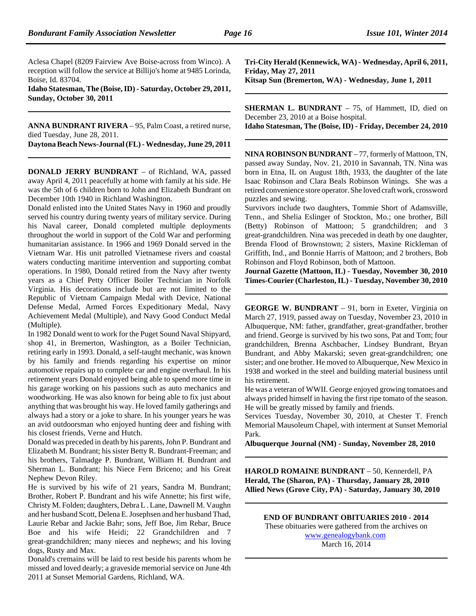Aclesa Chapel (8209 Fairview Ave Boise-across from Winco). A reception will follow the service at Billijo's home at 9485 Lorinda, Boise, Id. 83704.

**Idaho Statesman, The (Boise, ID) - Saturday, October 29, 2011, Sunday, October 30, 2011**

**ANNA BUNDRANT RIVERA** – 95, Palm Coast, a retired nurse, died Tuesday, June 28, 2011.

**Daytona Beach News-Journal (FL) - Wednesday, June 29, 2011**

**DONALD JERRY BUNDRANT** – of Richland, WA, passed away April 4, 2011 peacefully at home with family at his side. He was the 5th of 6 children born to John and Elizabeth Bundrant on December 10th 1940 in Richland Washington.

Donald enlisted into the United States Navy in 1960 and proudly served his country during twenty years of military service. During his Naval career, Donald completed multiple deployments throughout the world in support of the Cold War and performing humanitarian assistance. In 1966 and 1969 Donald served in the Vietnam War. His unit patrolled Vietnamese rivers and coastal waters conducting maritime intervention and supporting combat operations. In 1980, Donald retired from the Navy after twenty years as a Chief Petty Officer Boiler Technician in Norfolk Virginia. His decorations include but are not limited to the Republic of Vietnam Campaign Medal with Device, National Defense Medal, Armed Forces Expeditionary Medal, Navy Achievement Medal (Multiple), and Navy Good Conduct Medal (Multiple).

In 1982 Donald went to work for the Puget Sound Naval Shipyard, shop 41, in Bremerton, Washington, as a Boiler Technician, retiring early in 1993. Donald, a self-taught mechanic, was known by his family and friends regarding his expertise on minor automotive repairs up to complete car and engine overhaul. In his retirement years Donald enjoyed being able to spend more time in his garage working on his passions such as auto mechanics and woodworking. He was also known for being able to fix just about anything that was brought his way. He loved family gatherings and always had a story or a joke to share. In his younger years he was an avid outdoorsman who enjoyed hunting deer and fishing with his closest friends, Verne and Hutch.

Donald was preceded in death by his parents, John P. Bundrant and Elizabeth M. Bundrant; his sister Betty R. Bundrant-Freeman; and his brothers, Talmadge P. Bundrant, William H. Bundrant and Sherman L. Bundrant; his Niece Fern Briceno; and his Great Nephew Devon Riley.

He is survived by his wife of 21 years, Sandra M. Bundrant; Brother, Robert P. Bundrant and his wife Annette; his first wife, Christy M. Folden; daughters, Debra L . Lane, Dawnell M. Vaughn and her husband Scott, Delena E. Josephsen and her husband Thad, Laurie Rebar and Jackie Bahr; sons, Jeff Boe, Jim Rebar, Bruce Boe and his wife Heidi; 22 Grandchildren and 7 great-grandchildren; many nieces and nephews; and his loving dogs, Rusty and Max.

Donald's cremains will be laid to rest beside his parents whom he missed and loved dearly; a graveside memorial service on June 4th 2011 at Sunset Memorial Gardens, Richland, WA.

**Tri-City Herald (Kennewick, WA) - Wednesday, April 6, 2011, Friday, May 27, 2011**

**Kitsap Sun (Bremerton, WA) - Wednesday, June 1, 2011**

**SHERMAN L. BUNDRANT** – 75, of Hammett, ID, died on December 23, 2010 at a Boise hospital.

**Idaho Statesman, The (Boise, ID) - Friday, December 24, 2010**

**NINA ROBINSON BUNDRANT** – 77, formerly of Mattoon, TN, passed away Sunday, Nov. 21, 2010 in Savannah, TN. Nina was born in Etna, IL on August 18th, 1933, the daughter of the late Isaac Robinson and Clara Beals Robinson Winings. She was a retired convenience store operator. She loved craft work, crossword puzzles and sewing.

Survivors include two daughters, Tommie Short of Adamsville, Tenn., and Shelia Eslinger of Stockton, Mo.; one brother, Bill (Betty) Robinson of Mattoon; 5 grandchildren; and 3 great-grandchildren. Nina was preceded in death by one daughter, Brenda Flood of Brownstown; 2 sisters, Maxine Rickleman of Griffith, Ind., and Bonnie Harris of Mattoon; and 2 brothers, Bob Robinson and Floyd Robinson, both of Mattoon.

**Journal Gazette (Mattoon, IL) - Tuesday, November 30, 2010 Times-Courier (Charleston, IL) - Tuesday, November 30, 2010**

**GEORGE W. BUNDRANT** – 91, born in Exeter, Virginia on March 27, 1919, passed away on Tuesday, November 23, 2010 in Albuquerque, NM: father, grandfather, great-grandfather, brother and friend. George is survived by his two sons, Pat and Tom; four grandchildren, Brenna Aschbacher, Lindsey Bundrant, Bryan Bundrant, and Abby Makarski; seven great-grandchildren; one sister; and one brother. He moved to Albuquerque, New Mexico in 1938 and worked in the steel and building material business until his retirement.

He was a veteran of WWII. George enjoyed growing tomatoes and always prided himself in having the first ripe tomato of the season. He will be greatly missed by family and friends.

Services Tuesday, November 30, 2010, at Chester T. French Memorial Mausoleum Chapel, with interment at Sunset Memorial Park.

**Albuquerque Journal (NM) - Sunday, November 28, 2010**

**HAROLD ROMAINE BUNDRANT** – 50, Kennerdell, PA **Herald, The (Sharon, PA) - Thursday, January 28, 2010 Allied News (Grove City, PA) - Saturday, January 30, 2010**

**END OF BUNDRANT OBITUARIES 2010 - 2014** These obituaries were gathered from the archives on www.genealogybank.com March 16, 2014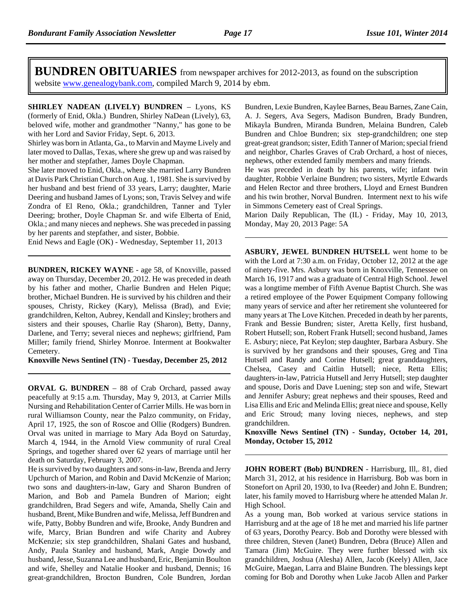**BUNDREN OBITUARIES** from newspaper archives for 2012-2013, as found on the subscription website www.genealogybank.com, compiled March 9, 2014 by ebm.

**SHIRLEY NADEAN (LIVELY) BUNDREN** – Lyons, KS (formerly of Enid, Okla.) Bundren, Shirley NaDean (Lively), 63, beloved wife, mother and grandmother "Nanny," has gone to be with her Lord and Savior Friday, Sept. 6, 2013.

Shirley was born in Atlanta, Ga., to Marvin and Mayme Lively and later moved to Dallas, Texas, where she grew up and was raised by her mother and stepfather, James Doyle Chapman.

She later moved to Enid, Okla., where she married Larry Bundren at Davis Park Christian Church on Aug. 1, 1981. She is survived by her husband and best friend of 33 years, Larry; daughter, Marie Deering and husband James of Lyons; son, Travis Selvey and wife Zondra of El Reno, Okla.; grandchildren, Tanner and Tyler Deering; brother, Doyle Chapman Sr. and wife Elberta of Enid, Okla.; and many nieces and nephews. She was preceded in passing by her parents and stepfather, and sister, Bobbie.

Enid News and Eagle (OK) - Wednesday, September 11, 2013

**BUNDREN, RICKEY WAYNE** - age 58, of Knoxville, passed away on Thursday, December 20, 2012. He was preceded in death by his father and mother, Charlie Bundren and Helen Pique; brother, Michael Bundren. He is survived by his children and their spouses, Christy, Rickey (Kary), Melissa (Brad), and Evie; grandchildren, Kelton, Aubrey, Kendall and Kinsley; brothers and sisters and their spouses, Charlie Ray (Sharon), Betty, Danny, Darlene, and Terry; several nieces and nephews; girlfriend, Pam Miller; family friend, Shirley Monroe. Interment at Bookwalter Cemetery.

**Knoxville News Sentinel (TN) - Tuesday, December 25, 2012**

**ORVAL G. BUNDREN** – 88 of Crab Orchard, passed away peacefully at 9:15 a.m. Thursday, May 9, 2013, at Carrier Mills Nursing and Rehabilitation Center of Carrier Mills. He was born in rural Williamson County, near the Palzo community, on Friday, April 17, 1925, the son of Roscoe and Ollie (Rodgers) Bundren. Orval was united in marriage to Mary Ada Boyd on Saturday, March 4, 1944, in the Arnold View community of rural Creal Springs, and together shared over 62 years of marriage until her death on Saturday, February 3, 2007.

He is survived by two daughters and sons-in-law, Brenda and Jerry Upchurch of Marion, and Robin and David McKenzie of Marion; two sons and daughters-in-law, Gary and Sharon Bundren of Marion, and Bob and Pamela Bundren of Marion; eight grandchildren, Brad Segers and wife, Amanda, Shelly Cain and husband, Brent, Mike Bundren and wife, Melissa, Jeff Bundren and wife, Patty, Bobby Bundren and wife, Brooke, Andy Bundren and wife, Marcy, Brian Bundren and wife Charity and Aubrey McKenzie; six step grandchildren, Shalani Gates and husband, Andy, Paula Stanley and husband, Mark, Angie Dowdy and husband, Jesse, Suzanna Lee and husband, Eric, Benjamin Boulton and wife, Shelley and Natalie Hooker and husband, Dennis; 16 great-grandchildren, Brocton Bundren, Cole Bundren, Jordan Bundren, Lexie Bundren, Kaylee Barnes, Beau Barnes, Zane Cain, A. J. Segers, Ava Segers, Madison Bundren, Brady Bundren, Mikayla Bundren, Miranda Bundren, Melaina Bundren, Caleb Bundren and Chloe Bundren; six step-grandchildren; one step great-great grandson; sister, Edith Tanner of Marion; special friend and neighbor, Charles Graves of Crab Orchard, a host of nieces, nephews, other extended family members and many friends.

He was preceded in death by his parents, wife; infant twin daughter, Robbie Verlaine Bundren; two sisters, Myrtle Edwards and Helen Rector and three brothers, Lloyd and Ernest Bundren and his twin brother, Norval Bundren. Interment next to his wife in Simmons Cemetery east of Creal Springs.

Marion Daily Republican, The (IL) - Friday, May 10, 2013, Monday, May 20, 2013 Page: 5A

**ASBURY, JEWEL BUNDREN HUTSELL** went home to be with the Lord at 7:30 a.m. on Friday, October 12, 2012 at the age of ninety-five. Mrs. Asbury was born in Knoxville, Tennessee on March 16, 1917 and was a graduate of Central High School. Jewel was a longtime member of Fifth Avenue Baptist Church. She was a retired employee of the Power Equipment Company following many years of service and after her retirement she volunteered for many years at The Love Kitchen. Preceded in death by her parents, Frank and Bessie Bundren; sister, Aretta Kelly, first husband, Robert Hutsell; son, Robert Frank Hutsell; second husband, James E. Asbury; niece, Pat Keylon; step daughter, Barbara Asbury. She is survived by her grandsons and their spouses, Greg and Tina Hutsell and Randy and Corine Hutsell; great granddaughters, Chelsea, Casey and Caitlin Hutsell; niece, Retta Ellis; daughters-in-law, Patricia Hutsell and Jerry Hutsell; step daughter and spouse, Doris and Dave Luening; step son and wife, Stewart and Jennifer Asbury; great nephews and their spouses, Reed and Lisa Ellis and Eric and Melinda Ellis; great niece and spouse, Kelly and Eric Stroud; many loving nieces, nephews, and step grandchildren.

**Knoxville News Sentinel (TN) - Sunday, October 14, 201, Monday, October 15, 2012**

**JOHN ROBERT (Bob) BUNDREN** - Harrisburg, Ill,. 81, died March 31, 2012, at his residence in Harrisburg. Bob was born in Stonefort on April 20, 1930, to Iva (Reeder) and John E. Bundren; later, his family moved to Harrisburg where he attended Malan Jr. High School.

As a young man, Bob worked at various service stations in Harrisburg and at the age of 18 he met and married his life partner of 63 years, Dorothy Pearcy. Bob and Dorothy were blessed with three children, Steven (Janet) Bundren, Debra (Bruce) Allen and Tamara (Jim) McGuire. They were further blessed with six grandchildren, Joshua (Alesha) Allen, Jacob (Keely) Allen, Jace McGuire, Maegan, Larra and Blaine Bundren. The blessings kept coming for Bob and Dorothy when Luke Jacob Allen and Parker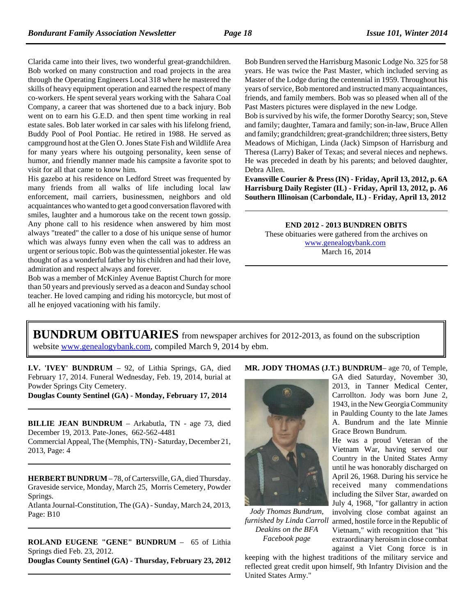Clarida came into their lives, two wonderful great-grandchildren. Bob worked on many construction and road projects in the area through the Operating Engineers Local 318 where he mastered the skills of heavy equipment operation and earned the respect of many co-workers. He spent several years working with the Sahara Coal Company, a career that was shortened due to a back injury. Bob went on to earn his G.E.D. and then spent time working in real estate sales. Bob later worked in car sales with his lifelong friend, Buddy Pool of Pool Pontiac. He retired in 1988. He served as campground host at the Glen O. Jones State Fish and Wildlife Area for many years where his outgoing personality, keen sense of humor, and friendly manner made his campsite a favorite spot to visit for all that came to know him.

His gazebo at his residence on Ledford Street was frequented by many friends from all walks of life including local law enforcement, mail carriers, businessmen, neighbors and old acquaintances who wanted to get a good conversation flavored with smiles, laughter and a humorous take on the recent town gossip. Any phone call to his residence when answered by him most always "treated" the caller to a dose of his unique sense of humor which was always funny even when the call was to address an urgent or serious topic. Bob was the quintessential jokester. He was thought of as a wonderful father by his children and had their love, admiration and respect always and forever.

Bob was a member of McKinley Avenue Baptist Church for more than 50 years and previously served as a deacon and Sunday school teacher. He loved camping and riding his motorcycle, but most of all he enjoyed vacationing with his family.

Bob Bundren served the Harrisburg Masonic Lodge No. 325 for 58 years. He was twice the Past Master, which included serving as Master of the Lodge during the centennial in 1959. Throughout his years of service, Bob mentored and instructed many acquaintances, friends, and family members. Bob was so pleased when all of the Past Masters pictures were displayed in the new Lodge.

Bob is survived by his wife, the former Dorothy Searcy; son, Steve and family; daughter, Tamara and family; son-in-law, Bruce Allen and family; grandchildren; great-grandchildren; three sisters, Betty Meadows of Michigan, Linda (Jack) Simpson of Harrisburg and Theresa (Larry) Baker of Texas; and several nieces and nephews. He was preceded in death by his parents; and beloved daughter, Debra Allen.

**Evansville Courier & Press (IN) - Friday, April 13, 2012, p. 6A Harrisburg Daily Register (IL) - Friday, April 13, 2012, p. A6 Southern Illinoisan (Carbondale, IL) - Friday, April 13, 2012**

**END 2012 - 2013 BUNDREN OBITS**

These obituaries were gathered from the archives on www.genealogybank.com March 16, 2014

## **BUNDRUM OBITUARIES** from newspaper archives for 2012-2013, as found on the subscription website www.genealogybank.com, compiled March 9, 2014 by ebm.

**I.V. 'IVEY' BUNDRUM** – 92, of Lithia Springs, GA, died February 17, 2014. Funeral Wednesday, Feb. 19, 2014, burial at Powder Springs City Cemetery.

**Douglas County Sentinel (GA) - Monday, February 17, 2014**

**BILLIE JEAN BUNDRUM** – Arkabutla, TN - age 73, died December 19, 2013. Pate-Jones, 662-562-4481 Commercial Appeal, The (Memphis, TN) - Saturday, December 21, 2013, Page: 4

**HERBERT BUNDRUM** – 78, of Cartersville, GA, died Thursday. Graveside service, Monday, March 25, Morris Cemetery, Powder Springs.

Atlanta Journal-Constitution, The (GA) - Sunday, March 24, 2013, Page: B10

**ROLAND EUGENE "GENE" BUNDRUM** – 65 of Lithia Springs died Feb. 23, 2012. **Douglas County Sentinel (GA) - Thursday, February 23, 2012**

#### **MR. JODY THOMAS (J.T.) BUNDRUM**– age 70, of Temple,



*Jody Thomas Bundrum, furnished by Linda Carroll Deakins on the BFA Facebook page*

GA died Saturday, November 30, 2013, in Tanner Medical Center, Carrollton. Jody was born June 2, 1943, in the New Georgia Community in Paulding County to the late James A. Bundrum and the late Minnie Grace Brown Bundrum.

He was a proud Veteran of the Vietnam War, having served our Country in the United States Army until he was honorably discharged on April 26, 1968. During his service he received many commendations including the Silver Star, awarded on July 4, 1968, "for gallantry in action involving close combat against an armed, hostile force in the Republic of Vietnam," with recognition that "his extraordinary heroism in close combat against a Viet Cong force is in

keeping with the highest traditions of the military service and reflected great credit upon himself, 9th Infantry Division and the United States Army."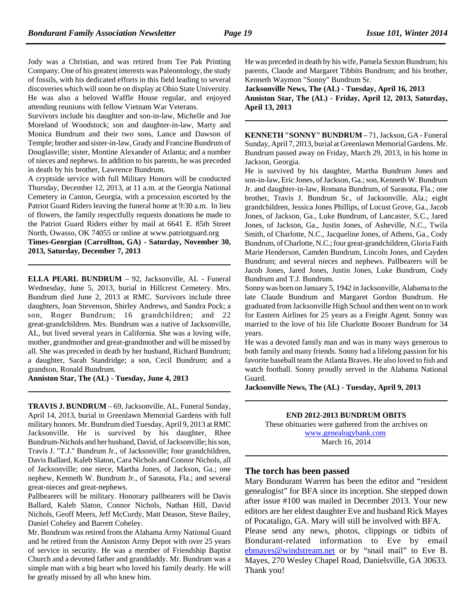Jody was a Christian, and was retired from Tee Pak Printing Company. One of his greatest interests was Paleontology, the study of fossils, with his dedicated efforts in this field leading to several discoveries which will soon be on display at Ohio State University. He was also a beloved Waffle House regular, and enjoyed attending reunions with fellow Vietnam War Veterans.

Survivors include his daughter and son-in-law, Michelle and Joe Moreland of Woodstock; son and daughter-in-law, Marty and Monica Bundrum and their two sons, Lance and Dawson of Temple; brother and sister-in-law, Grady and Francine Bundrum of Douglasville; sister, Montine Alexander of Atlanta; and a number of nieces and nephews. In addition to his parents, he was preceded in death by his brother, Lawrence Bundrum.

A cryptside service with full Military Honors will be conducted Thursday, December 12, 2013, at 11 a.m. at the Georgia National Cemetery in Canton, Georgia, with a procession escorted by the Patriot Guard Riders leaving the funeral home at 9:30 a.m. In lieu of flowers, the family respectfully requests donations be made to the Patriot Guard Riders either by mail at 6641 E. 85th Street North, Owasso, OK 74055 or online at www.patriotguard.org

**Times-Georgian (Carrollton, GA) - Saturday, November 30, 2013, Saturday, December 7, 2013**

**ELLA PEARL BUNDRUM** – 92, Jacksonville, AL - Funeral Wednesday, June 5, 2013, burial in Hillcrest Cemetery. Mrs. Bundrum died June 2, 2013 at RMC. Survivors include three daughters, Joan Stevenson, Shirley Andrews, and Sandra Pock; a son, Roger Bundrum; 16 grandchildren; and 22 great-grandchildren. Mrs. Bundrum was a native of Jacksonville, AL, but lived several years in California. She was a loving wife, mother, grandmother and great-grandmother and will be missed by all. She was preceded in death by her husband, Richard Bundrum; a daughter, Sarah Standridge; a son, Cecil Bundrum; and a grandson, Ronald Bundrum.

**Anniston Star, The (AL) - Tuesday, June 4, 2013**

**TRAVIS J. BUNDRUM** – 69, Jacksonville, AL, Funeral Sunday, April 14, 2013, burial in Greenlawn Memorial Gardens with full military honors. Mr. Bundrum died Tuesday, April 9, 2013 at RMC Jacksonville. He is survived by his daughter, Rhee Bundrum-Nichols and her husband, David, of Jacksonville; his son, Travis J. "T.J." Bundrum Jr., of Jacksonville; four grandchildren, Davis Ballard, Kaleb Slaton, Cara Nichols and Connor Nichols, all of Jacksonville; one niece, Martha Jones, of Jackson, Ga.; one nephew, Kenneth W. Bundrum Jr., of Sarasota, Fla.; and several great-nieces and great-nephews.

Pallbearers will be military. Honorary pallbearers will be Davis Ballard, Kaleb Slaton, Connor Nichols, Nathan Hill, David Nichols, Geoff Meers, Jeff McCurdy, Matt Deason, Steve Bailey, Daniel Coheley and Barrett Coheley.

Mr. Bundrum was retired from the Alabama Army National Guard and he retired from the Anniston Army Depot with over 25 years of service in security. He was a member of Friendship Baptist Church and a devoted father and granddaddy. Mr. Bundrum was a simple man with a big heart who loved his family dearly. He will be greatly missed by all who knew him.

He was preceded in death by his wife, Pamela Sexton Bundrum; his parents, Claude and Margaret Tibbits Bundrum; and his brother, Kenneth Waymon "Sonny" Bundrum Sr.

**Jacksonville News, The (AL) - Tuesday, April 16, 2013 Anniston Star, The (AL) - Friday, April 12, 2013, Saturday, April 13, 2013**

**KENNETH "SONNY" BUNDRUM** – 71, Jackson, GA - Funeral Sunday, April 7, 2013, burial at Greenlawn Memorial Gardens. Mr. Bundrum passed away on Friday, March 29, 2013, in his home in Jackson, Georgia.

He is survived by his daughter, Martha Bundrum Jones and son-in-law, Eric Jones, of Jackson, Ga.; son, Kenneth W. Bundrum Jr. and daughter-in-law, Romana Bundrum, of Sarasota, Fla.; one brother, Travis J. Bundrum Sr., of Jacksonville, Ala.; eight grandchildren, Jessica Jones Phillips, of Locust Grove, Ga., Jacob Jones, of Jackson, Ga., Luke Bundrum, of Lancaster, S.C., Jared Jones, of Jackson, Ga., Justin Jones, of Asheville, N.C., Twila Smith, of Charlotte, N.C., Jacqueline Jones, of Athens, Ga., Cody Bundrum, of Charlotte, N.C.; four great-grandchildren, Gloria Faith Marie Henderson, Camden Bundrum, Lincoln Jones, and Cayden Bundrum; and several nieces and nephews. Pallbearers will be Jacob Jones, Jared Jones, Justin Jones, Luke Bundrum, Cody Bundrum and T.J. Bundrum.

Sonny was born on January 5, 1942 in Jacksonville, Alabama to the late Claude Bundrum and Margaret Gordon Bundrum. He graduated from Jacksonville High School and then went on to work for Eastern Airlines for 25 years as a Freight Agent. Sonny was married to the love of his life Charlotte Boozer Bundrum for 34 years.

He was a devoted family man and was in many ways generous to both family and many friends. Sonny had a lifelong passion for his favorite baseball team the Atlanta Braves. He also loved to fish and watch football. Sonny proudly served in the Alabama National Guard.

**Jacksonville News, The (AL) - Tuesday, April 9, 2013**

**END 2012-2013 BUNDRUM OBITS** These obituaries were gathered from the archives on www.genealogybank.com March 16, 2014

**The torch has been passed**

Mary Bondurant Warren has been the editor and "resident genealogist" for BFA since its inception. She stepped down after issue #100 was mailed in December 2013. Your new editors are her eldest daughter Eve and husband Rick Mayes of Pocataligo, GA. Mary will still be involved with BFA. Please send any news, photos, clippings or tidbits of

Bondurant-related information to Eve by email ebmayes@windstream.net or by "snail mail" to Eve B. Mayes, 270 Wesley Chapel Road, Danielsville, GA 30633. Thank you!